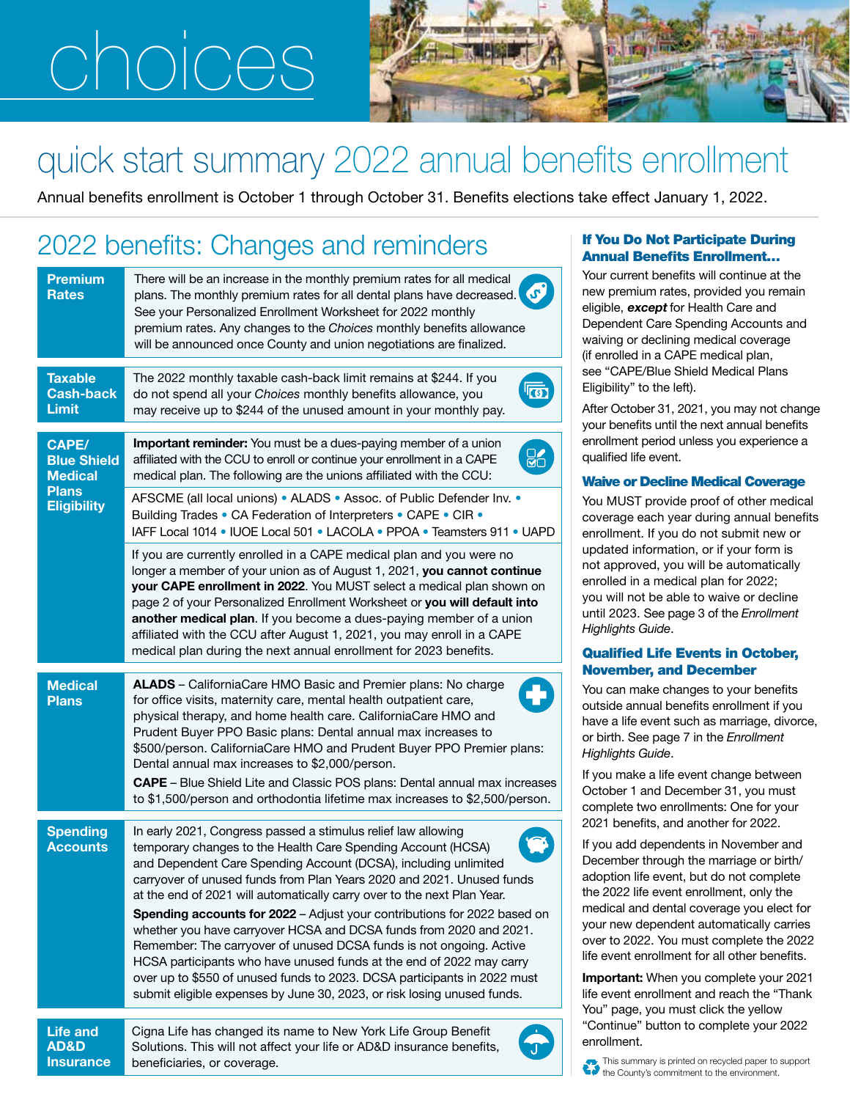# choices



# quick start summary 2022 annual benefits enrollment

Annual benefits enrollment is October 1 through October 31. Benefits elections take effect January 1, 2022.

### 2022 benefits: Changes and reminders **If You Do Not Participate During**

| <b>Premium</b><br><b>Rates</b>                                                      | There will be an increase in the monthly premium rates for all medical<br>plans. The monthly premium rates for all dental plans have decreased.<br>See your Personalized Enrollment Worksheet for 2022 monthly<br>premium rates. Any changes to the Choices monthly benefits allowance<br>will be announced once County and union negotiations are finalized.                                                                                                                                                                                                                                                                                                                                                                                                                                                |
|-------------------------------------------------------------------------------------|--------------------------------------------------------------------------------------------------------------------------------------------------------------------------------------------------------------------------------------------------------------------------------------------------------------------------------------------------------------------------------------------------------------------------------------------------------------------------------------------------------------------------------------------------------------------------------------------------------------------------------------------------------------------------------------------------------------------------------------------------------------------------------------------------------------|
| <b>Taxable</b><br><b>Cash-back</b><br><b>Limit</b>                                  | The 2022 monthly taxable cash-back limit remains at \$244. If you<br>do not spend all your Choices monthly benefits allowance, you<br>may receive up to \$244 of the unused amount in your monthly pay.                                                                                                                                                                                                                                                                                                                                                                                                                                                                                                                                                                                                      |
| CAPE/<br><b>Blue Shield</b><br><b>Medical</b><br><b>Plans</b><br><b>Eligibility</b> | <b>Important reminder:</b> You must be a dues-paying member of a union<br>affiliated with the CCU to enroll or continue your enrollment in a CAPE<br>medical plan. The following are the unions affiliated with the CCU:<br>AFSCME (all local unions) • ALADS • Assoc. of Public Defender Inv. •                                                                                                                                                                                                                                                                                                                                                                                                                                                                                                             |
|                                                                                     | Building Trades • CA Federation of Interpreters • CAPE • CIR •<br>IAFF Local 1014 • IUOE Local 501 • LACOLA • PPOA • Teamsters 911 • UAPD                                                                                                                                                                                                                                                                                                                                                                                                                                                                                                                                                                                                                                                                    |
|                                                                                     | If you are currently enrolled in a CAPE medical plan and you were no<br>longer a member of your union as of August 1, 2021, you cannot continue<br>your CAPE enrollment in 2022. You MUST select a medical plan shown on<br>page 2 of your Personalized Enrollment Worksheet or you will default into<br>another medical plan. If you become a dues-paying member of a union<br>affiliated with the CCU after August 1, 2021, you may enroll in a CAPE<br>medical plan during the next annual enrollment for 2023 benefits.                                                                                                                                                                                                                                                                                  |
| <b>Medical</b><br><b>Plans</b>                                                      | ALADS - CaliforniaCare HMO Basic and Premier plans: No charge<br>H<br>for office visits, maternity care, mental health outpatient care,<br>physical therapy, and home health care. CaliforniaCare HMO and<br>Prudent Buyer PPO Basic plans: Dental annual max increases to<br>\$500/person. CaliforniaCare HMO and Prudent Buyer PPO Premier plans:<br>Dental annual max increases to \$2,000/person.<br>CAPE - Blue Shield Lite and Classic POS plans: Dental annual max increases<br>to \$1,500/person and orthodontia lifetime max increases to \$2,500/person.                                                                                                                                                                                                                                           |
| <b>Spending</b><br><b>Accounts</b>                                                  | In early 2021, Congress passed a stimulus relief law allowing<br>temporary changes to the Health Care Spending Account (HCSA)<br>and Dependent Care Spending Account (DCSA), including unlimited<br>carryover of unused funds from Plan Years 2020 and 2021. Unused funds<br>at the end of 2021 will automatically carry over to the next Plan Year.<br>Spending accounts for 2022 - Adjust your contributions for 2022 based on<br>whether you have carryover HCSA and DCSA funds from 2020 and 2021.<br>Remember: The carryover of unused DCSA funds is not ongoing. Active<br>HCSA participants who have unused funds at the end of 2022 may carry<br>over up to \$550 of unused funds to 2023. DCSA participants in 2022 must<br>submit eligible expenses by June 30, 2023, or risk losing unused funds. |
| <b>Life and</b><br><b>AD&amp;D</b><br><b>Insurance</b>                              | Cigna Life has changed its name to New York Life Group Benefit<br>Solutions. This will not affect your life or AD&D insurance benefits,<br>beneficiaries, or coverage.                                                                                                                                                                                                                                                                                                                                                                                                                                                                                                                                                                                                                                       |

## Annual Benefits Enrollment…

Your current benefits will continue at the new premium rates, provided you remain eligible, **except** for Health Care and Dependent Care Spending Accounts and waiving or declining medical coverage (if enrolled in a CAPE medical plan, see "CAPE/Blue Shield Medical Plans Eligibility" to the left).

After October 31, 2021, you may not change your benefits until the next annual benefits enrollment period unless you experience a qualified life event.

### Waive or Decline Medical Coverage

You MUST provide proof of other medical coverage each year during annual benefits enrollment. If you do not submit new or updated information, or if your form is not approved, you will be automatically enrolled in a medical plan for 2022; you will not be able to waive or decline until 2023. See page 3 of the *Enrollment Highlights Guide*.

### Qualified Life Events in October, November, and December

You can make changes to your benefits outside annual benefits enrollment if you have a life event such as marriage, divorce, or birth. See page 7 in the *Enrollment Highlights Guide*.

If you make a life event change between October 1 and December 31, you must complete two enrollments: One for your 2021 benefits, and another for 2022.

If you add dependents in November and December through the marriage or birth/ adoption life event, but do not complete the 2022 life event enrollment, only the medical and dental coverage you elect for your new dependent automatically carries over to 2022. You must complete the 2022 life event enrollment for all other benefits.

Important: When you complete your 2021 life event enrollment and reach the "Thank You" page, you must click the yellow "Continue" button to complete your 2022 enrollment.

This summary is printed on recycled paper to support the County's commitment to the environment.